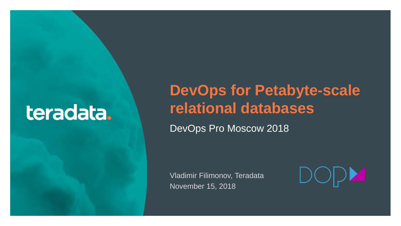# teradata.

1

## **DevOps for Petabyte-scale relational databases**

DevOps Pro Moscow 2018

Vladimir Filimonov, Teradata November 15, 2018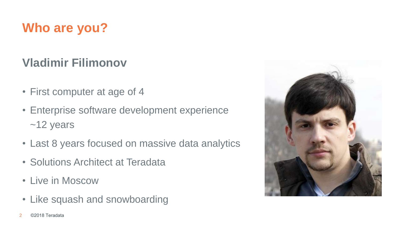## **Who are you?**

## **Vladimir Filimonov**

- First computer at age of 4
- Enterprise software development experience ~12 years
- Last 8 years focused on massive data analytics
- Solutions Architect at Teradata
- Live in Moscow
- Like squash and snowboarding

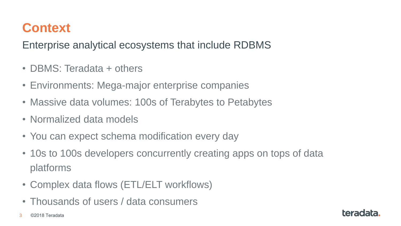## **Context**

Enterprise analytical ecosystems that include RDBMS

- DBMS: Teradata + others
- Environments: Mega-major enterprise companies
- Massive data volumes: 100s of Terabytes to Petabytes
- Normalized data models
- You can expect schema modification every day
- 10s to 100s developers concurrently creating apps on tops of data platforms
- Complex data flows (ETL/ELT workflows)
- Thousands of users / data consumers
- 3 ©2018 Teradata

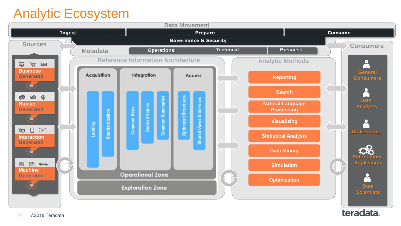## Analytic Ecosystem

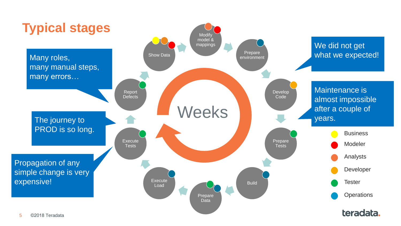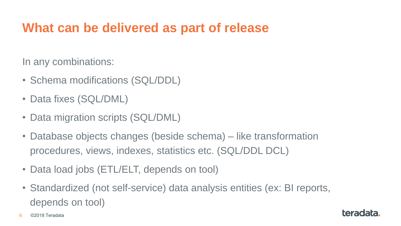## **What can be delivered as part of release**

In any combinations:

- Schema modifications (SQL/DDL)
- Data fixes (SQL/DML)
- Data migration scripts (SQL/DML)
- Database objects changes (beside schema) like transformation procedures, views, indexes, statistics etc. (SQL/DDL DCL)
- Data load jobs (ETL/ELT, depends on tool)
- Standardized (not self-service) data analysis entities (ex: BI reports, depends on tool)

6 ©2018 Teradata

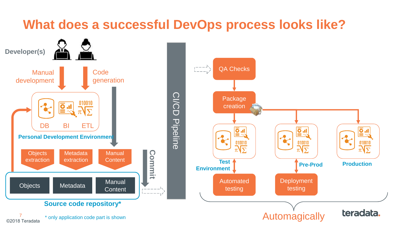## **What does a successful DevOps process looks like?**

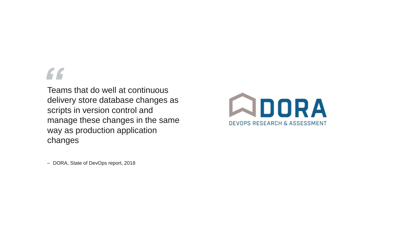Teams that do well at continuous delivery store database changes as scripts in version control and manage these changes in the same way as production application changes



– DORA, State of DevOps report, 2018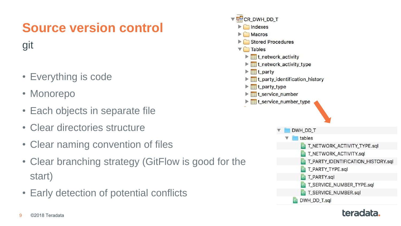# **Source version control**

git

- Everything is code
- Monorepo
- Each objects in separate file
- Clear directories structure
- Clear naming convention of files
- Clear branching strategy (GitFlow is good for the start)
- Early detection of potential conflicts

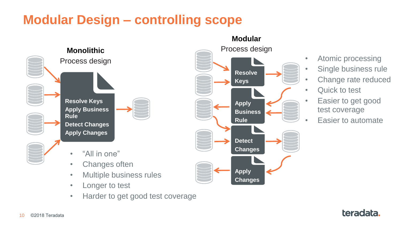## **Modular Design – controlling scope**



- Multiple business rules
- Longer to test
- Harder to get good test coverage



- Atomic processing
- Single business rule
- Change rate reduced
- Quick to test
- Easier to get good test coverage
- Easier to automate

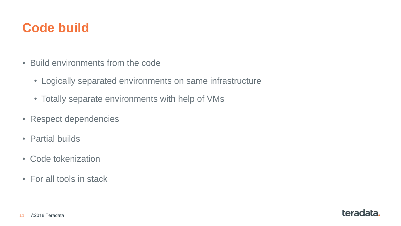## **Code build**

- Build environments from the code
	- Logically separated environments on same infrastructure
	- Totally separate environments with help of VMs
- Respect dependencies
- Partial builds
- Code tokenization
- For all tools in stack

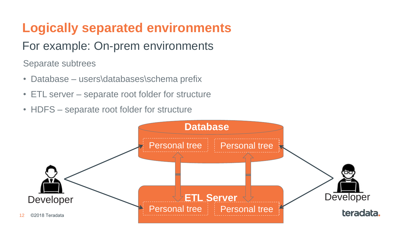## **Logically separated environments**

## For example: On-prem environments

Separate subtrees

- Database users\databases\schema prefix
- ETL server separate root folder for structure
- HDFS separate root folder for structure

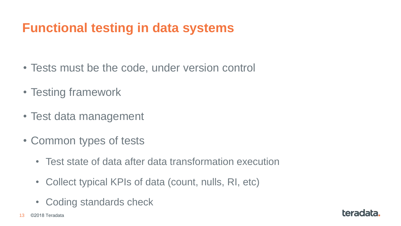## **Functional testing in data systems**

- Tests must be the code, under version control
- Testing framework
- Test data management
- Common types of tests
	- Test state of data after data transformation execution
	- Collect typical KPIs of data (count, nulls, RI, etc)
	- Coding standards check

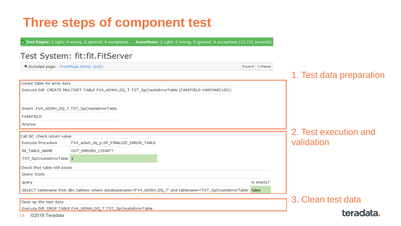## **Three steps of component test**

V Test Pages: 1 right, 0 wrong, 0 ignored, 0 exceptions Assertions: 2 right, 0 wrong, 0 ignored, 0 exceptions (13.715 seconds)

#### Test System: fit:fit.FitServer

| Expand Collapse<br>+ Included page: .FrontPage.SetUp (edit) |                                                                                                                   |                    |                          |
|-------------------------------------------------------------|-------------------------------------------------------------------------------------------------------------------|--------------------|--------------------------|
|                                                             |                                                                                                                   |                    | 1. Test data preparation |
| Create table for error data                                 |                                                                                                                   |                    |                          |
|                                                             | Execute Ddl CREATE MULTISET TABLE FV4_ADWH_DQ_T.TST_SpCreateErrorTable (FAKEFIELD VARCHAR(100))                   |                    |                          |
|                                                             |                                                                                                                   |                    |                          |
|                                                             | Insert FV4_ADWH_DQ_T.TST_SpCreateErrorTable                                                                       |                    |                          |
| <b>FAKEFIELD</b>                                            |                                                                                                                   |                    |                          |
| Anyrow                                                      |                                                                                                                   |                    |                          |
| Call SP, check return value                                 |                                                                                                                   |                    | 2. Test execution and    |
| <b>Execute Procedure</b>                                    | FV4_adwh_dq_p.SP_FINALIZE_ERROR_TABLE                                                                             |                    | validation               |
| IN_TABLE_NAME                                               | OUT_ERRORS_COUNT?                                                                                                 |                    |                          |
| TST_SpCreateErrorTable 1                                    |                                                                                                                   |                    |                          |
| Check that table still exists                               |                                                                                                                   |                    |                          |
| Query Stats                                                 |                                                                                                                   |                    |                          |
| query                                                       |                                                                                                                   | is empty?          |                          |
|                                                             | SELECT tablename from dbc.tablesv where databasename='FV4_ADWH_DQ_T' and tablename='TST_SpCreateErrorTable' false |                    |                          |
| Clean up the test data                                      |                                                                                                                   | 3. Clean test data |                          |
|                                                             | Execute Ddl DROP TABLE FV4_ADWH_DQ_T.TST_SpCreateErrorTable                                                       |                    |                          |
| ©2018 Teradata<br>14                                        |                                                                                                                   |                    | teradata.                |

14 ©2018 Teradata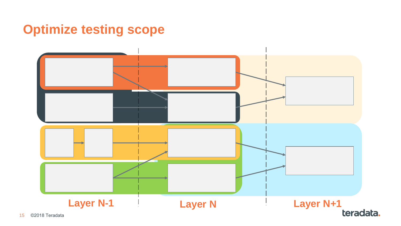## **Optimize testing scope**

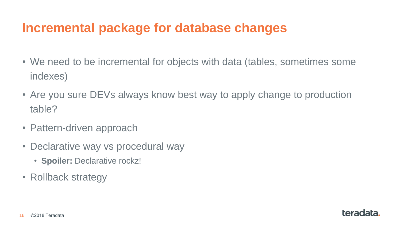## **Incremental package for database changes**

- We need to be incremental for objects with data (tables, sometimes some indexes)
- Are you sure DEVs always know best way to apply change to production table?

teradata.

- Pattern-driven approach
- Declarative way vs procedural way
	- **Spoiler:** Declarative rockz!
- Rollback strategy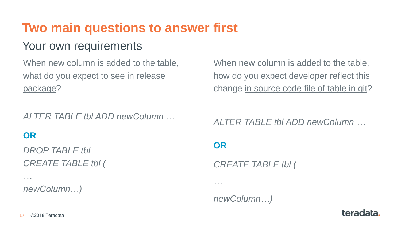## **Two main questions to answer first**

## Your own requirements

When new column is added to the table, what do you expect to see in release package?

*ALTER TABLE tbl ADD newColumn …*

### **OR**

*…*

*DROP TABLE tbl CREATE TABLE tbl (*

*newColumn…)*

When new column is added to the table, how do you expect developer reflect this change in source code file of table in git?

*ALTER TABLE tbl ADD newColumn …*

teradata.

**OR**

*…*

*CREATE TABLE tbl (*

*newColumn…)*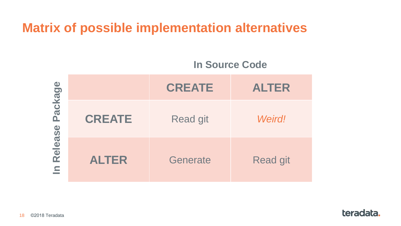## **Matrix of possible implementation alternatives**

#### **In Source Code**

| Package<br>Release<br>$\epsilon$ |               | <b>CREATE</b>   | <b>ALTER</b>    |
|----------------------------------|---------------|-----------------|-----------------|
|                                  | <b>CREATE</b> | <b>Read git</b> | <b>Weird!</b>   |
|                                  | <b>ALTER</b>  | Generate        | <b>Read git</b> |

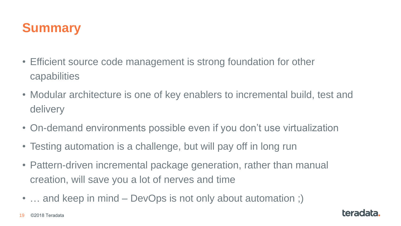

- Efficient source code management is strong foundation for other capabilities
- Modular architecture is one of key enablers to incremental build, test and delivery
- On-demand environments possible even if you don't use virtualization
- Testing automation is a challenge, but will pay off in long run
- Pattern-driven incremental package generation, rather than manual creation, will save you a lot of nerves and time
- ... and keep in mind DevOps is not only about automation ;)